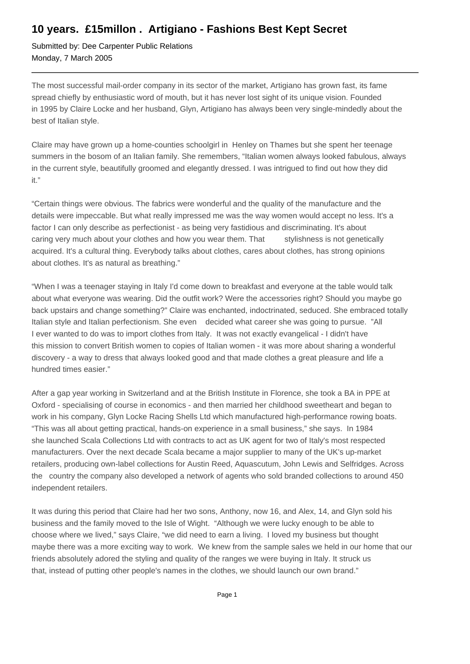## **10 years. £15millon . Artigiano - Fashions Best Kept Secret**

Submitted by: Dee Carpenter Public Relations Monday, 7 March 2005

The most successful mail-order company in its sector of the market, Artigiano has grown fast, its fame spread chiefly by enthusiastic word of mouth, but it has never lost sight of its unique vision. Founded in 1995 by Claire Locke and her husband, Glyn, Artigiano has always been very single-mindedly about the best of Italian style.

Claire may have grown up a home-counties schoolgirl in Henley on Thames but she spent her teenage summers in the bosom of an Italian family. She remembers, "Italian women always looked fabulous, always in the current style, beautifully groomed and elegantly dressed. I was intrigued to find out how they did it."

"Certain things were obvious. The fabrics were wonderful and the quality of the manufacture and the details were impeccable. But what really impressed me was the way women would accept no less. It's a factor I can only describe as perfectionist - as being very fastidious and discriminating. It's about caring very much about your clothes and how you wear them. That stylishness is not genetically acquired. It's a cultural thing. Everybody talks about clothes, cares about clothes, has strong opinions about clothes. It's as natural as breathing."

"When I was a teenager staying in Italy I'd come down to breakfast and everyone at the table would talk about what everyone was wearing. Did the outfit work? Were the accessories right? Should you maybe go back upstairs and change something?" Claire was enchanted, indoctrinated, seduced. She embraced totally Italian style and Italian perfectionism. She even decided what career she was going to pursue. "All I ever wanted to do was to import clothes from Italy. It was not exactly evangelical - I didn't have this mission to convert British women to copies of Italian women - it was more about sharing a wonderful discovery - a way to dress that always looked good and that made clothes a great pleasure and life a hundred times easier."

After a gap year working in Switzerland and at the British Institute in Florence, she took a BA in PPE at Oxford - specialising of course in economics - and then married her childhood sweetheart and began to work in his company, Glyn Locke Racing Shells Ltd which manufactured high-performance rowing boats. "This was all about getting practical, hands-on experience in a small business," she says. In 1984 she launched Scala Collections Ltd with contracts to act as UK agent for two of Italy's most respected manufacturers. Over the next decade Scala became a major supplier to many of the UK's up-market retailers, producing own-label collections for Austin Reed, Aquascutum, John Lewis and Selfridges. Across the country the company also developed a network of agents who sold branded collections to around 450 independent retailers.

It was during this period that Claire had her two sons, Anthony, now 16, and Alex, 14, and Glyn sold his business and the family moved to the Isle of Wight. "Although we were lucky enough to be able to choose where we lived," says Claire, "we did need to earn a living. I loved my business but thought maybe there was a more exciting way to work. We knew from the sample sales we held in our home that our friends absolutely adored the styling and quality of the ranges we were buying in Italy. It struck us that, instead of putting other people's names in the clothes, we should launch our own brand."